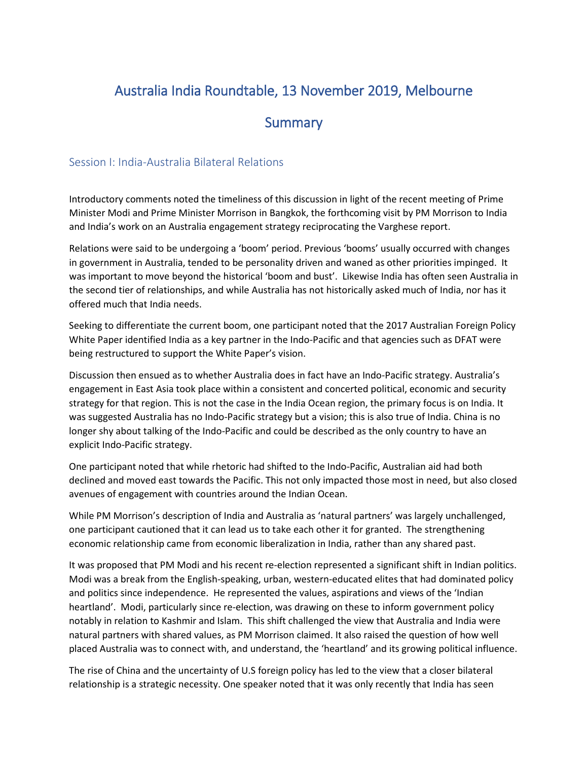# Australia India Roundtable, 13 November 2019, Melbourne

## **Summary**

#### Session I: India-Australia Bilateral Relations

Introductory comments noted the timeliness of this discussion in light of the recent meeting of Prime Minister Modi and Prime Minister Morrison in Bangkok, the forthcoming visit by PM Morrison to India and India's work on an Australia engagement strategy reciprocating the Varghese report.

Relations were said to be undergoing a 'boom' period. Previous 'booms' usually occurred with changes in government in Australia, tended to be personality driven and waned as other priorities impinged. It was important to move beyond the historical 'boom and bust'. Likewise India has often seen Australia in the second tier of relationships, and while Australia has not historically asked much of India, nor has it offered much that India needs.

Seeking to differentiate the current boom, one participant noted that the 2017 Australian Foreign Policy White Paper identified India as a key partner in the Indo-Pacific and that agencies such as DFAT were being restructured to support the White Paper's vision.

Discussion then ensued as to whether Australia does in fact have an Indo-Pacific strategy. Australia's engagement in East Asia took place within a consistent and concerted political, economic and security strategy for that region. This is not the case in the India Ocean region, the primary focus is on India. It was suggested Australia has no Indo-Pacific strategy but a vision; this is also true of India. China is no longer shy about talking of the Indo-Pacific and could be described as the only country to have an explicit Indo-Pacific strategy.

One participant noted that while rhetoric had shifted to the Indo-Pacific, Australian aid had both declined and moved east towards the Pacific. This not only impacted those most in need, but also closed avenues of engagement with countries around the Indian Ocean.

While PM Morrison's description of India and Australia as 'natural partners' was largely unchallenged, one participant cautioned that it can lead us to take each other it for granted. The strengthening economic relationship came from economic liberalization in India, rather than any shared past.

It was proposed that PM Modi and his recent re-election represented a significant shift in Indian politics. Modi was a break from the English-speaking, urban, western-educated elites that had dominated policy and politics since independence. He represented the values, aspirations and views of the 'Indian heartland'. Modi, particularly since re-election, was drawing on these to inform government policy notably in relation to Kashmir and Islam. This shift challenged the view that Australia and India were natural partners with shared values, as PM Morrison claimed. It also raised the question of how well placed Australia was to connect with, and understand, the 'heartland' and its growing political influence.

The rise of China and the uncertainty of U.S foreign policy has led to the view that a closer bilateral relationship is a strategic necessity. One speaker noted that it was only recently that India has seen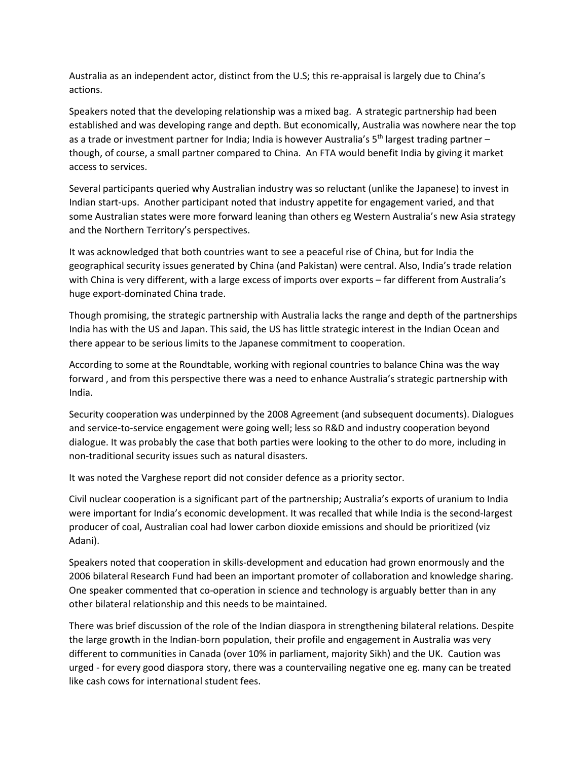Australia as an independent actor, distinct from the U.S; this re-appraisal is largely due to China's actions.

Speakers noted that the developing relationship was a mixed bag. A strategic partnership had been established and was developing range and depth. But economically, Australia was nowhere near the top as a trade or investment partner for India; India is however Australia's  $5<sup>th</sup>$  largest trading partner – though, of course, a small partner compared to China. An FTA would benefit India by giving it market access to services.

Several participants queried why Australian industry was so reluctant (unlike the Japanese) to invest in Indian start-ups. Another participant noted that industry appetite for engagement varied, and that some Australian states were more forward leaning than others eg Western Australia's new Asia strategy and the Northern Territory's perspectives.

It was acknowledged that both countries want to see a peaceful rise of China, but for India the geographical security issues generated by China (and Pakistan) were central. Also, India's trade relation with China is very different, with a large excess of imports over exports – far different from Australia's huge export-dominated China trade.

Though promising, the strategic partnership with Australia lacks the range and depth of the partnerships India has with the US and Japan. This said, the US has little strategic interest in the Indian Ocean and there appear to be serious limits to the Japanese commitment to cooperation.

According to some at the Roundtable, working with regional countries to balance China was the way forward , and from this perspective there was a need to enhance Australia's strategic partnership with India.

Security cooperation was underpinned by the 2008 Agreement (and subsequent documents). Dialogues and service-to-service engagement were going well; less so R&D and industry cooperation beyond dialogue. It was probably the case that both parties were looking to the other to do more, including in non-traditional security issues such as natural disasters.

It was noted the Varghese report did not consider defence as a priority sector.

Civil nuclear cooperation is a significant part of the partnership; Australia's exports of uranium to India were important for India's economic development. It was recalled that while India is the second-largest producer of coal, Australian coal had lower carbon dioxide emissions and should be prioritized (viz Adani).

Speakers noted that cooperation in skills-development and education had grown enormously and the 2006 bilateral Research Fund had been an important promoter of collaboration and knowledge sharing. One speaker commented that co-operation in science and technology is arguably better than in any other bilateral relationship and this needs to be maintained.

There was brief discussion of the role of the Indian diaspora in strengthening bilateral relations. Despite the large growth in the Indian-born population, their profile and engagement in Australia was very different to communities in Canada (over 10% in parliament, majority Sikh) and the UK. Caution was urged - for every good diaspora story, there was a countervailing negative one eg. many can be treated like cash cows for international student fees.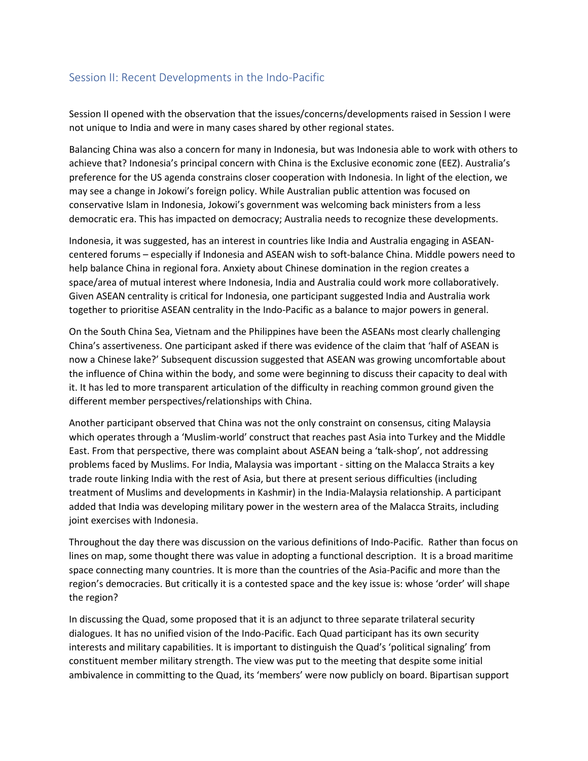### Session II: Recent Developments in the Indo-Pacific

Session II opened with the observation that the issues/concerns/developments raised in Session I were not unique to India and were in many cases shared by other regional states.

Balancing China was also a concern for many in Indonesia, but was Indonesia able to work with others to achieve that? Indonesia's principal concern with China is the Exclusive economic zone (EEZ). Australia's preference for the US agenda constrains closer cooperation with Indonesia. In light of the election, we may see a change in Jokowi's foreign policy. While Australian public attention was focused on conservative Islam in Indonesia, Jokowi's government was welcoming back ministers from a less democratic era. This has impacted on democracy; Australia needs to recognize these developments.

Indonesia, it was suggested, has an interest in countries like India and Australia engaging in ASEANcentered forums – especially if Indonesia and ASEAN wish to soft-balance China. Middle powers need to help balance China in regional fora. Anxiety about Chinese domination in the region creates a space/area of mutual interest where Indonesia, India and Australia could work more collaboratively. Given ASEAN centrality is critical for Indonesia, one participant suggested India and Australia work together to prioritise ASEAN centrality in the Indo-Pacific as a balance to major powers in general.

On the South China Sea, Vietnam and the Philippines have been the ASEANs most clearly challenging China's assertiveness. One participant asked if there was evidence of the claim that 'half of ASEAN is now a Chinese lake?' Subsequent discussion suggested that ASEAN was growing uncomfortable about the influence of China within the body, and some were beginning to discuss their capacity to deal with it. It has led to more transparent articulation of the difficulty in reaching common ground given the different member perspectives/relationships with China.

Another participant observed that China was not the only constraint on consensus, citing Malaysia which operates through a 'Muslim-world' construct that reaches past Asia into Turkey and the Middle East. From that perspective, there was complaint about ASEAN being a 'talk-shop', not addressing problems faced by Muslims. For India, Malaysia was important - sitting on the Malacca Straits a key trade route linking India with the rest of Asia, but there at present serious difficulties (including treatment of Muslims and developments in Kashmir) in the India-Malaysia relationship. A participant added that India was developing military power in the western area of the Malacca Straits, including joint exercises with Indonesia.

Throughout the day there was discussion on the various definitions of Indo-Pacific. Rather than focus on lines on map, some thought there was value in adopting a functional description. It is a broad maritime space connecting many countries. It is more than the countries of the Asia-Pacific and more than the region's democracies. But critically it is a contested space and the key issue is: whose 'order' will shape the region?

In discussing the Quad, some proposed that it is an adjunct to three separate trilateral security dialogues. It has no unified vision of the Indo-Pacific. Each Quad participant has its own security interests and military capabilities. It is important to distinguish the Quad's 'political signaling' from constituent member military strength. The view was put to the meeting that despite some initial ambivalence in committing to the Quad, its 'members' were now publicly on board. Bipartisan support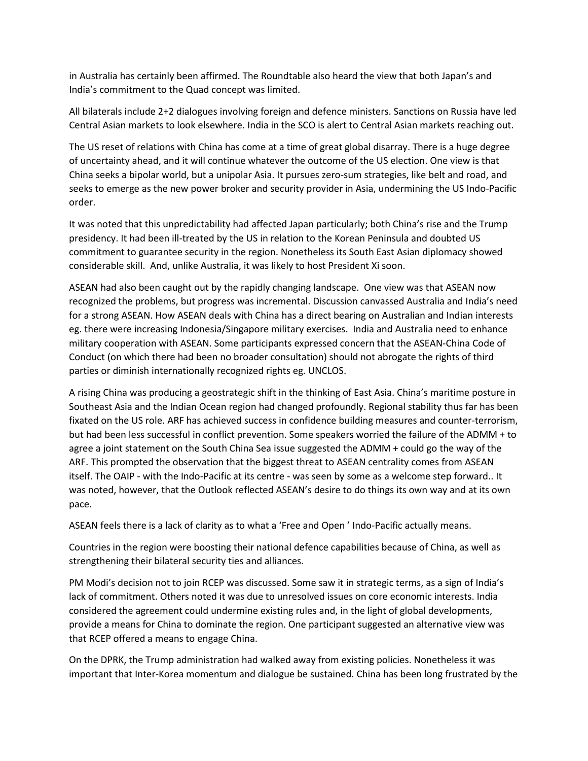in Australia has certainly been affirmed. The Roundtable also heard the view that both Japan's and India's commitment to the Quad concept was limited.

All bilaterals include 2+2 dialogues involving foreign and defence ministers. Sanctions on Russia have led Central Asian markets to look elsewhere. India in the SCO is alert to Central Asian markets reaching out.

The US reset of relations with China has come at a time of great global disarray. There is a huge degree of uncertainty ahead, and it will continue whatever the outcome of the US election. One view is that China seeks a bipolar world, but a unipolar Asia. It pursues zero-sum strategies, like belt and road, and seeks to emerge as the new power broker and security provider in Asia, undermining the US Indo-Pacific order.

It was noted that this unpredictability had affected Japan particularly; both China's rise and the Trump presidency. It had been ill-treated by the US in relation to the Korean Peninsula and doubted US commitment to guarantee security in the region. Nonetheless its South East Asian diplomacy showed considerable skill. And, unlike Australia, it was likely to host President Xi soon.

ASEAN had also been caught out by the rapidly changing landscape. One view was that ASEAN now recognized the problems, but progress was incremental. Discussion canvassed Australia and India's need for a strong ASEAN. How ASEAN deals with China has a direct bearing on Australian and Indian interests eg. there were increasing Indonesia/Singapore military exercises. India and Australia need to enhance military cooperation with ASEAN. Some participants expressed concern that the ASEAN-China Code of Conduct (on which there had been no broader consultation) should not abrogate the rights of third parties or diminish internationally recognized rights eg. UNCLOS.

A rising China was producing a geostrategic shift in the thinking of East Asia. China's maritime posture in Southeast Asia and the Indian Ocean region had changed profoundly. Regional stability thus far has been fixated on the US role. ARF has achieved success in confidence building measures and counter-terrorism, but had been less successful in conflict prevention. Some speakers worried the failure of the ADMM + to agree a joint statement on the South China Sea issue suggested the ADMM + could go the way of the ARF. This prompted the observation that the biggest threat to ASEAN centrality comes from ASEAN itself. The OAIP - with the Indo-Pacific at its centre - was seen by some as a welcome step forward.. It was noted, however, that the Outlook reflected ASEAN's desire to do things its own way and at its own pace.

ASEAN feels there is a lack of clarity as to what a 'Free and Open ' Indo-Pacific actually means.

Countries in the region were boosting their national defence capabilities because of China, as well as strengthening their bilateral security ties and alliances.

PM Modi's decision not to join RCEP was discussed. Some saw it in strategic terms, as a sign of India's lack of commitment. Others noted it was due to unresolved issues on core economic interests. India considered the agreement could undermine existing rules and, in the light of global developments, provide a means for China to dominate the region. One participant suggested an alternative view was that RCEP offered a means to engage China.

On the DPRK, the Trump administration had walked away from existing policies. Nonetheless it was important that Inter-Korea momentum and dialogue be sustained. China has been long frustrated by the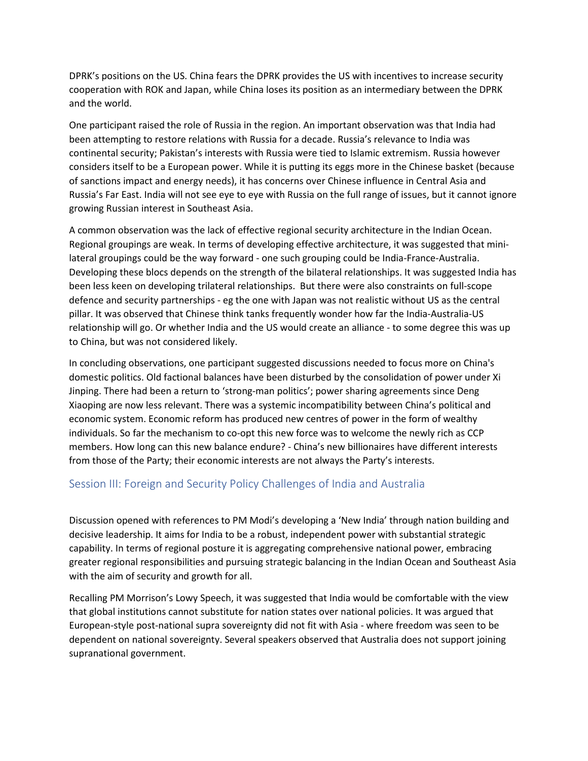DPRK's positions on the US. China fears the DPRK provides the US with incentives to increase security cooperation with ROK and Japan, while China loses its position as an intermediary between the DPRK and the world.

One participant raised the role of Russia in the region. An important observation was that India had been attempting to restore relations with Russia for a decade. Russia's relevance to India was continental security; Pakistan's interests with Russia were tied to Islamic extremism. Russia however considers itself to be a European power. While it is putting its eggs more in the Chinese basket (because of sanctions impact and energy needs), it has concerns over Chinese influence in Central Asia and Russia's Far East. India will not see eye to eye with Russia on the full range of issues, but it cannot ignore growing Russian interest in Southeast Asia.

A common observation was the lack of effective regional security architecture in the Indian Ocean. Regional groupings are weak. In terms of developing effective architecture, it was suggested that minilateral groupings could be the way forward - one such grouping could be India-France-Australia. Developing these blocs depends on the strength of the bilateral relationships. It was suggested India has been less keen on developing trilateral relationships. But there were also constraints on full-scope defence and security partnerships - eg the one with Japan was not realistic without US as the central pillar. It was observed that Chinese think tanks frequently wonder how far the India-Australia-US relationship will go. Or whether India and the US would create an alliance - to some degree this was up to China, but was not considered likely.

In concluding observations, one participant suggested discussions needed to focus more on China's domestic politics. Old factional balances have been disturbed by the consolidation of power under Xi Jinping. There had been a return to 'strong-man politics'; power sharing agreements since Deng Xiaoping are now less relevant. There was a systemic incompatibility between China's political and economic system. Economic reform has produced new centres of power in the form of wealthy individuals. So far the mechanism to co-opt this new force was to welcome the newly rich as CCP members. How long can this new balance endure? - China's new billionaires have different interests from those of the Party; their economic interests are not always the Party's interests.

#### Session III: Foreign and Security Policy Challenges of India and Australia

Discussion opened with references to PM Modi's developing a 'New India' through nation building and decisive leadership. It aims for India to be a robust, independent power with substantial strategic capability. In terms of regional posture it is aggregating comprehensive national power, embracing greater regional responsibilities and pursuing strategic balancing in the Indian Ocean and Southeast Asia with the aim of security and growth for all.

Recalling PM Morrison's Lowy Speech, it was suggested that India would be comfortable with the view that global institutions cannot substitute for nation states over national policies. It was argued that European-style post-national supra sovereignty did not fit with Asia - where freedom was seen to be dependent on national sovereignty. Several speakers observed that Australia does not support joining supranational government.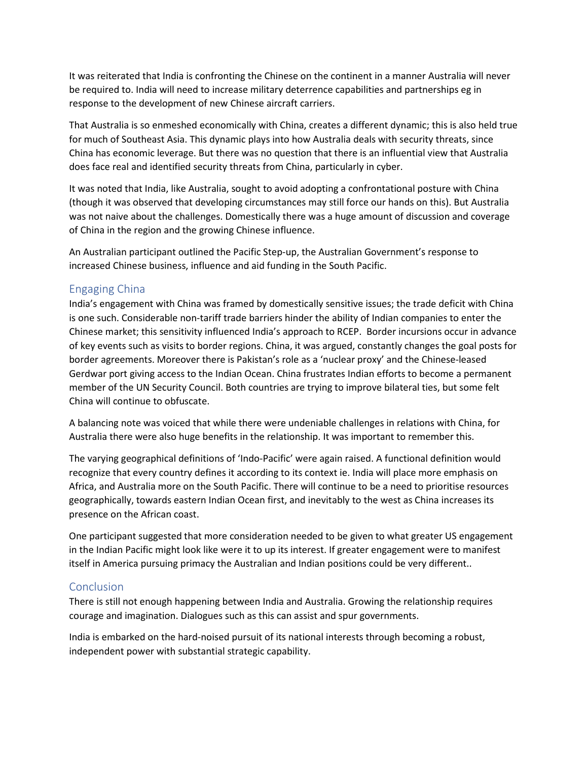It was reiterated that India is confronting the Chinese on the continent in a manner Australia will never be required to. India will need to increase military deterrence capabilities and partnerships eg in response to the development of new Chinese aircraft carriers.

That Australia is so enmeshed economically with China, creates a different dynamic; this is also held true for much of Southeast Asia. This dynamic plays into how Australia deals with security threats, since China has economic leverage. But there was no question that there is an influential view that Australia does face real and identified security threats from China, particularly in cyber.

It was noted that India, like Australia, sought to avoid adopting a confrontational posture with China (though it was observed that developing circumstances may still force our hands on this). But Australia was not naive about the challenges. Domestically there was a huge amount of discussion and coverage of China in the region and the growing Chinese influence.

An Australian participant outlined the Pacific Step-up, the Australian Government's response to increased Chinese business, influence and aid funding in the South Pacific.

### Engaging China

India's engagement with China was framed by domestically sensitive issues; the trade deficit with China is one such. Considerable non-tariff trade barriers hinder the ability of Indian companies to enter the Chinese market; this sensitivity influenced India's approach to RCEP. Border incursions occur in advance of key events such as visits to border regions. China, it was argued, constantly changes the goal posts for border agreements. Moreover there is Pakistan's role as a 'nuclear proxy' and the Chinese-leased Gerdwar port giving access to the Indian Ocean. China frustrates Indian efforts to become a permanent member of the UN Security Council. Both countries are trying to improve bilateral ties, but some felt China will continue to obfuscate.

A balancing note was voiced that while there were undeniable challenges in relations with China, for Australia there were also huge benefits in the relationship. It was important to remember this.

The varying geographical definitions of 'Indo-Pacific' were again raised. A functional definition would recognize that every country defines it according to its context ie. India will place more emphasis on Africa, and Australia more on the South Pacific. There will continue to be a need to prioritise resources geographically, towards eastern Indian Ocean first, and inevitably to the west as China increases its presence on the African coast.

One participant suggested that more consideration needed to be given to what greater US engagement in the Indian Pacific might look like were it to up its interest. If greater engagement were to manifest itself in America pursuing primacy the Australian and Indian positions could be very different..

### **Conclusion**

There is still not enough happening between India and Australia. Growing the relationship requires courage and imagination. Dialogues such as this can assist and spur governments.

India is embarked on the hard-noised pursuit of its national interests through becoming a robust, independent power with substantial strategic capability.